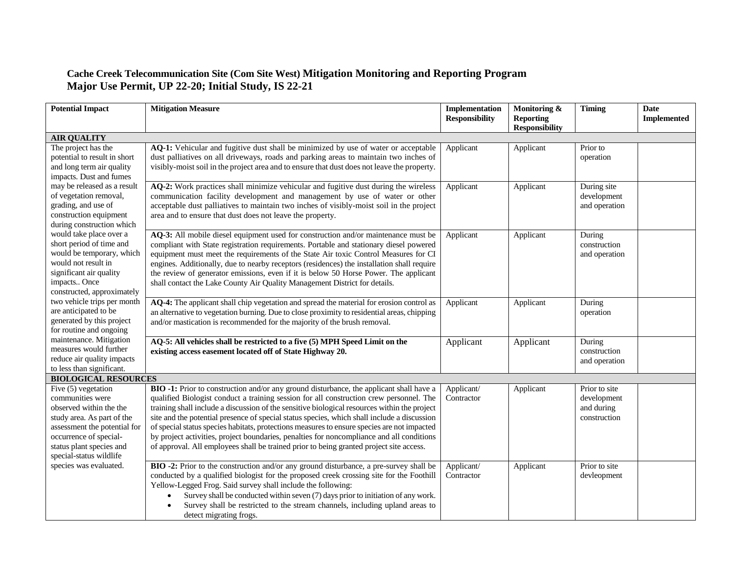## **Cache Creek Telecommunication Site (Com Site West) Mitigation Monitoring and Reporting Program Major Use Permit, UP 22-20; Initial Study, IS 22-21**

| <b>Potential Impact</b>      | <b>Mitigation Measure</b>                                                                    | Implementation<br><b>Responsibility</b> | Monitoring &<br><b>Reporting</b> | <b>Timing</b> | <b>Date</b><br><b>Implemented</b> |
|------------------------------|----------------------------------------------------------------------------------------------|-----------------------------------------|----------------------------------|---------------|-----------------------------------|
|                              |                                                                                              |                                         | <b>Responsibility</b>            |               |                                   |
| <b>AIR QUALITY</b>           |                                                                                              |                                         |                                  |               |                                   |
| The project has the          | AQ-1: Vehicular and fugitive dust shall be minimized by use of water or acceptable           | Applicant                               | Applicant                        | Prior to      |                                   |
| potential to result in short | dust palliatives on all driveways, roads and parking areas to maintain two inches of         |                                         |                                  | operation     |                                   |
| and long term air quality    | visibly-moist soil in the project area and to ensure that dust does not leave the property.  |                                         |                                  |               |                                   |
| impacts. Dust and fumes      |                                                                                              |                                         |                                  |               |                                   |
| may be released as a result  | AQ-2: Work practices shall minimize vehicular and fugitive dust during the wireless          | Applicant                               | Applicant                        | During site   |                                   |
| of vegetation removal,       | communication facility development and management by use of water or other                   |                                         |                                  | development   |                                   |
| grading, and use of          | acceptable dust palliatives to maintain two inches of visibly-moist soil in the project      |                                         |                                  | and operation |                                   |
| construction equipment       | area and to ensure that dust does not leave the property.                                    |                                         |                                  |               |                                   |
| during construction which    |                                                                                              |                                         |                                  |               |                                   |
| would take place over a      | AQ-3: All mobile diesel equipment used for construction and/or maintenance must be           | Applicant                               | Applicant                        | During        |                                   |
| short period of time and     | compliant with State registration requirements. Portable and stationary diesel powered       |                                         |                                  | construction  |                                   |
| would be temporary, which    | equipment must meet the requirements of the State Air toxic Control Measures for CI          |                                         |                                  | and operation |                                   |
| would not result in          | engines. Additionally, due to nearby receptors (residences) the installation shall require   |                                         |                                  |               |                                   |
| significant air quality      | the review of generator emissions, even if it is below 50 Horse Power. The applicant         |                                         |                                  |               |                                   |
| impacts Once                 | shall contact the Lake County Air Quality Management District for details.                   |                                         |                                  |               |                                   |
| constructed, approximately   |                                                                                              |                                         |                                  |               |                                   |
| two vehicle trips per month  | AQ-4: The applicant shall chip vegetation and spread the material for erosion control as     | Applicant                               | Applicant                        | During        |                                   |
| are anticipated to be        | an alternative to vegetation burning. Due to close proximity to residential areas, chipping  |                                         |                                  | operation     |                                   |
| generated by this project    | and/or mastication is recommended for the majority of the brush removal.                     |                                         |                                  |               |                                   |
| for routine and ongoing      |                                                                                              |                                         |                                  |               |                                   |
| maintenance. Mitigation      | AQ-5: All vehicles shall be restricted to a five (5) MPH Speed Limit on the                  | Applicant                               | Applicant                        | During        |                                   |
| measures would further       | existing access easement located off of State Highway 20.                                    |                                         |                                  | construction  |                                   |
| reduce air quality impacts   |                                                                                              |                                         |                                  | and operation |                                   |
| to less than significant.    |                                                                                              |                                         |                                  |               |                                   |
| <b>BIOLOGICAL RESOURCES</b>  |                                                                                              |                                         |                                  |               |                                   |
| Five (5) vegetation          | BIO -1: Prior to construction and/or any ground disturbance, the applicant shall have a      | Applicant/                              | Applicant                        | Prior to site |                                   |
| communities were             | qualified Biologist conduct a training session for all construction crew personnel. The      | Contractor                              |                                  | development   |                                   |
| observed within the the      | training shall include a discussion of the sensitive biological resources within the project |                                         |                                  | and during    |                                   |
| study area. As part of the   | site and the potential presence of special status species, which shall include a discussion  |                                         |                                  | construction  |                                   |
| assessment the potential for | of special status species habitats, protections measures to ensure species are not impacted  |                                         |                                  |               |                                   |
| occurrence of special-       | by project activities, project boundaries, penalties for noncompliance and all conditions    |                                         |                                  |               |                                   |
| status plant species and     | of approval. All employees shall be trained prior to being granted project site access.      |                                         |                                  |               |                                   |
| special-status wildlife      |                                                                                              |                                         |                                  |               |                                   |
| species was evaluated.       | BIO -2: Prior to the construction and/or any ground disturbance, a pre-survey shall be       | Applicant/                              | Applicant                        | Prior to site |                                   |
|                              | conducted by a qualified biologist for the proposed creek crossing site for the Foothill     | Contractor                              |                                  | devleopment   |                                   |
|                              | Yellow-Legged Frog. Said survey shall include the following:                                 |                                         |                                  |               |                                   |
|                              | Survey shall be conducted within seven (7) days prior to initiation of any work.             |                                         |                                  |               |                                   |
|                              | Survey shall be restricted to the stream channels, including upland areas to                 |                                         |                                  |               |                                   |
|                              | detect migrating frogs.                                                                      |                                         |                                  |               |                                   |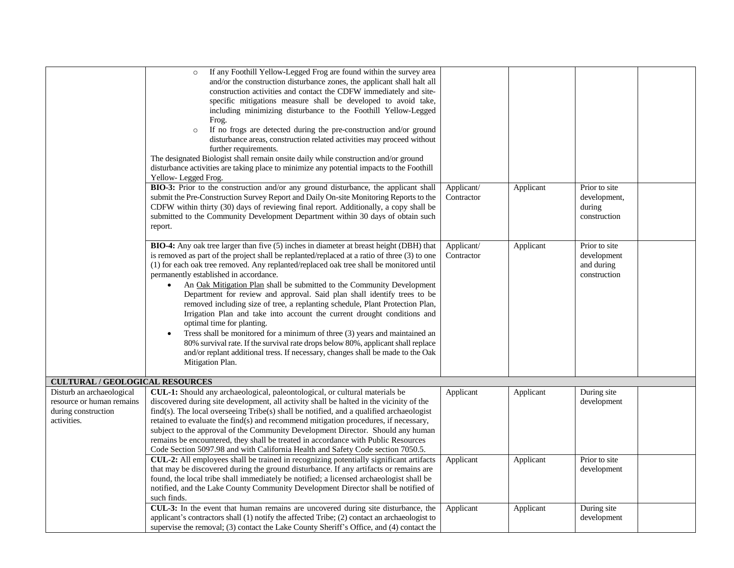|                                                                                              | If any Foothill Yellow-Legged Frog are found within the survey area<br>$\circ$<br>and/or the construction disturbance zones, the applicant shall halt all<br>construction activities and contact the CDFW immediately and site-<br>specific mitigations measure shall be developed to avoid take,<br>including minimizing disturbance to the Foothill Yellow-Legged<br>Frog.<br>If no frogs are detected during the pre-construction and/or ground<br>$\circ$<br>disturbance areas, construction related activities may proceed without<br>further requirements.<br>The designated Biologist shall remain onsite daily while construction and/or ground<br>disturbance activities are taking place to minimize any potential impacts to the Foothill                                                                                                                                                                                                                 |                          |           |                                                            |
|----------------------------------------------------------------------------------------------|----------------------------------------------------------------------------------------------------------------------------------------------------------------------------------------------------------------------------------------------------------------------------------------------------------------------------------------------------------------------------------------------------------------------------------------------------------------------------------------------------------------------------------------------------------------------------------------------------------------------------------------------------------------------------------------------------------------------------------------------------------------------------------------------------------------------------------------------------------------------------------------------------------------------------------------------------------------------|--------------------------|-----------|------------------------------------------------------------|
|                                                                                              | Yellow-Legged Frog.<br>BIO-3: Prior to the construction and/or any ground disturbance, the applicant shall<br>submit the Pre-Construction Survey Report and Daily On-site Monitoring Reports to the<br>CDFW within thirty (30) days of reviewing final report. Additionally, a copy shall be<br>submitted to the Community Development Department within 30 days of obtain such<br>report.                                                                                                                                                                                                                                                                                                                                                                                                                                                                                                                                                                           | Applicant/<br>Contractor | Applicant | Prior to site<br>development,<br>during<br>construction    |
|                                                                                              | BIO-4: Any oak tree larger than five (5) inches in diameter at breast height (DBH) that<br>is removed as part of the project shall be replanted/replaced at a ratio of three (3) to one<br>(1) for each oak tree removed. Any replanted/replaced oak tree shall be monitored until<br>permanently established in accordance.<br>An Oak Mitigation Plan shall be submitted to the Community Development<br>$\bullet$<br>Department for review and approval. Said plan shall identify trees to be<br>removed including size of tree, a replanting schedule, Plant Protection Plan,<br>Irrigation Plan and take into account the current drought conditions and<br>optimal time for planting.<br>Tress shall be monitored for a minimum of three (3) years and maintained an<br>80% survival rate. If the survival rate drops below 80%, applicant shall replace<br>and/or replant additional tress. If necessary, changes shall be made to the Oak<br>Mitigation Plan. | Applicant/<br>Contractor | Applicant | Prior to site<br>development<br>and during<br>construction |
| <b>CULTURAL / GEOLOGICAL RESOURCES</b>                                                       |                                                                                                                                                                                                                                                                                                                                                                                                                                                                                                                                                                                                                                                                                                                                                                                                                                                                                                                                                                      |                          |           |                                                            |
| Disturb an archaeological<br>resource or human remains<br>during construction<br>activities. | CUL-1: Should any archaeological, paleontological, or cultural materials be<br>discovered during site development, all activity shall be halted in the vicinity of the<br>find(s). The local overseeing Tribe(s) shall be notified, and a qualified archaeologist<br>retained to evaluate the find(s) and recommend mitigation procedures, if necessary,<br>subject to the approval of the Community Development Director. Should any human<br>remains be encountered, they shall be treated in accordance with Public Resources<br>Code Section 5097.98 and with California Health and Safety Code section 7050.5.                                                                                                                                                                                                                                                                                                                                                  | Applicant                | Applicant | During site<br>development                                 |
|                                                                                              | CUL-2: All employees shall be trained in recognizing potentially significant artifacts<br>that may be discovered during the ground disturbance. If any artifacts or remains are<br>found, the local tribe shall immediately be notified; a licensed archaeologist shall be<br>notified, and the Lake County Community Development Director shall be notified of<br>such finds.                                                                                                                                                                                                                                                                                                                                                                                                                                                                                                                                                                                       | Applicant                | Applicant | Prior to site<br>development                               |
|                                                                                              | CUL-3: In the event that human remains are uncovered during site disturbance, the<br>applicant's contractors shall (1) notify the affected Tribe; (2) contact an archaeologist to<br>supervise the removal; (3) contact the Lake County Sheriff's Office, and (4) contact the                                                                                                                                                                                                                                                                                                                                                                                                                                                                                                                                                                                                                                                                                        | Applicant                | Applicant | During site<br>development                                 |